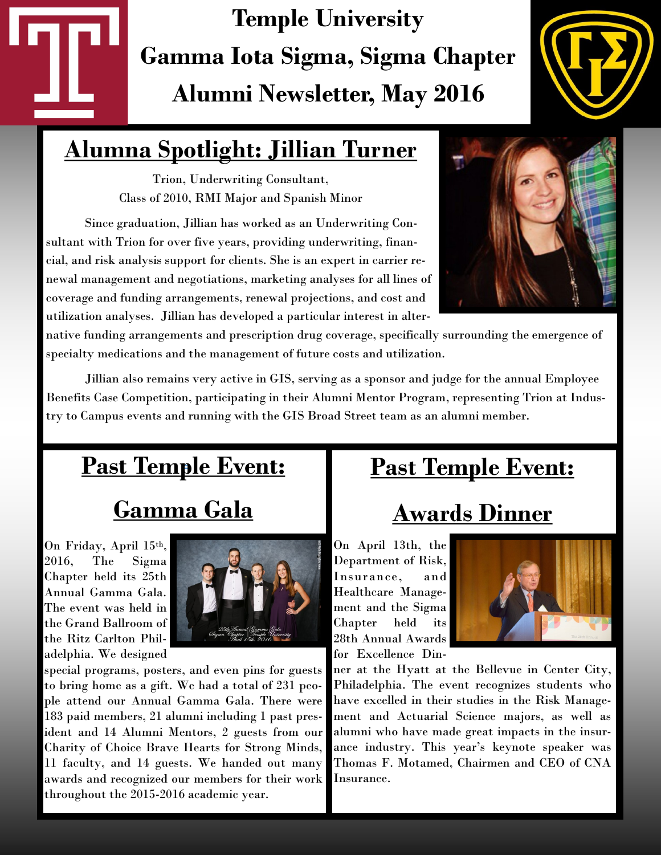# **Temple University Gamma Iota Sigma, Sigma Chapter Alumni Newsletter, May 2016**



### **Alumna Spotlight: Jillian Turner**

Trion, Underwriting Consultant, Class of 2010, RMI Major and Spanish Minor

Since graduation, Jillian has worked as an Underwriting Consultant with Trion for over five years, providing underwriting, financial, and risk analysis support for clients. She is an expert in carrier renewal management and negotiations, marketing analyses for all lines of coverage and funding arrangements, renewal projections, and cost and utilization analyses. Jillian has developed a particular interest in alter-



native funding arrangements and prescription drug coverage, specifically surrounding the emergence of specialty medications and the management of future costs and utilization.

Jillian also remains very active in GIS, serving as a sponsor and judge for the annual Employee Benefits Case Competition, participating in their Alumni Mentor Program, representing Trion at Industry to Campus events and running with the GIS Broad Street team as an alumni member.

# **Past Temple Event:** *<sup>=</sup>*

## **Gamma Gala**

On Friday, April 15th, 2016, The Sigma Chapter held its 25th Annual Gamma Gala. The event was held in the Grand Ballroom of the Ritz Carlton Philadelphia. We designed



special programs, posters, and even pins for guests to bring home as a gift. We had a total of 231 people attend our Annual Gamma Gala. There were 183 paid members, 21 alumni including 1 past president and 14 Alumni Mentors, 2 guests from our Charity of Choice Brave Hearts for Strong Minds, 11 faculty, and 14 guests. We handed out many awards and recognized our members for their work throughout the 2015-2016 academic year.

### **Past Temple Event:**

### **Awards Dinner**

On April 13th, the Department of Risk, Insurance, and Healthcare Management and the Sigma Chapter held its 28th Annual Awards for Excellence Din-



ner at the Hyatt at the Bellevue in Center City, Philadelphia. The event recognizes students who have excelled in their studies in the Risk Management and Actuarial Science majors, as well as alumni who have made great impacts in the insurance industry. This year's keynote speaker was Thomas F. Motamed, Chairmen and CEO of CNA Insurance.